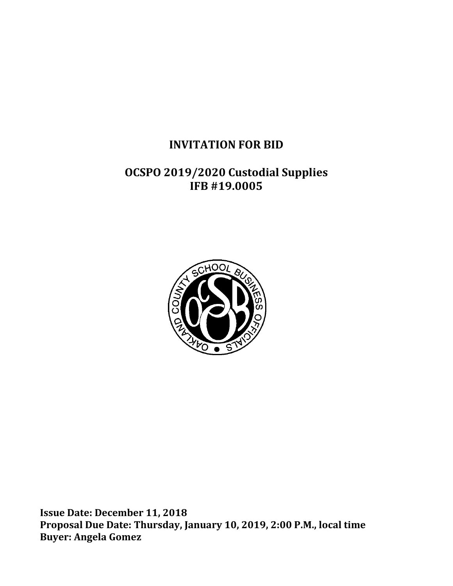# **INVITATION FOR BID**

# **OCSPO 2019/2020 Custodial Supplies IFB #19.0005**



**Issue Date: December 11, 2018 Proposal Due Date: Thursday, January 10, 2019, 2:00 P.M., local time Buyer: Angela Gomez**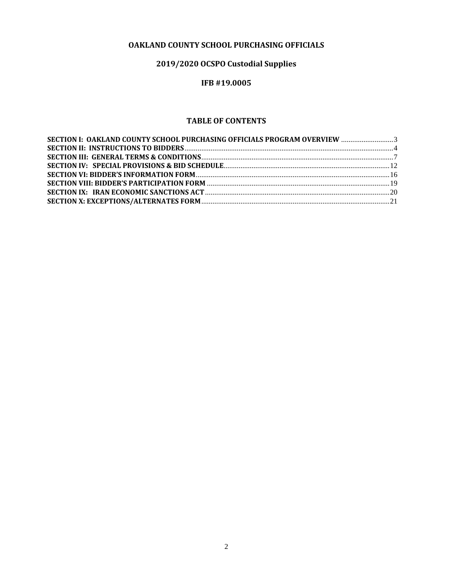# **OAKLAND COUNTY SCHOOL PURCHASING OFFICIALS**

# **2019/2020 OCSPO Custodial Supplies**

# **IFB #19.0005**

# **TABLE OF CONTENTS**

| SECTION I: OAKLAND COUNTY SCHOOL PURCHASING OFFICIALS PROGRAM OVERVIEW  3 |  |
|---------------------------------------------------------------------------|--|
|                                                                           |  |
|                                                                           |  |
|                                                                           |  |
|                                                                           |  |
|                                                                           |  |
|                                                                           |  |
|                                                                           |  |
|                                                                           |  |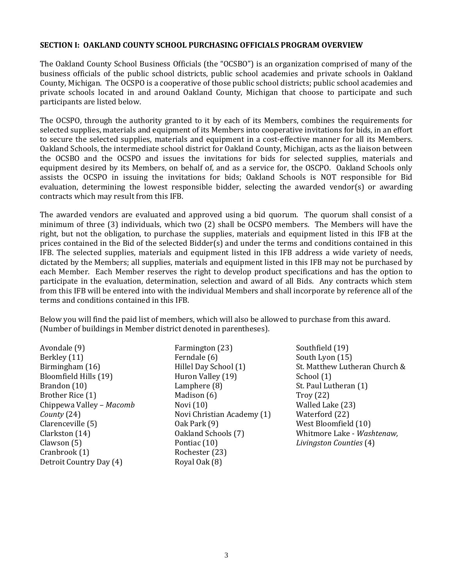#### <span id="page-2-0"></span>**SECTION I: OAKLAND COUNTY SCHOOL PURCHASING OFFICIALS PROGRAM OVERVIEW**

The Oakland County School Business Officials (the "OCSBO") is an organization comprised of many of the business officials of the public school districts, public school academies and private schools in Oakland County, Michigan. The OCSPO is a cooperative of those public school districts; public school academies and private schools located in and around Oakland County, Michigan that choose to participate and such participants are listed below.

The OCSPO, through the authority granted to it by each of its Members, combines the requirements for selected supplies, materials and equipment of its Members into cooperative invitations for bids, in an effort to secure the selected supplies, materials and equipment in a cost-effective manner for all its Members. Oakland Schools, the intermediate school district for Oakland County, Michigan, acts as the liaison between the OCSBO and the OCSPO and issues the invitations for bids for selected supplies, materials and equipment desired by its Members, on behalf of, and as a service for, the OSCPO. Oakland Schools only assists the OCSPO in issuing the invitations for bids; Oakland Schools is NOT responsible for Bid evaluation, determining the lowest responsible bidder, selecting the awarded vendor(s) or awarding contracts which may result from this IFB.

The awarded vendors are evaluated and approved using a bid quorum. The quorum shall consist of a minimum of three (3) individuals, which two (2) shall be OCSPO members. The Members will have the right, but not the obligation, to purchase the supplies, materials and equipment listed in this IFB at the prices contained in the Bid of the selected Bidder(s) and under the terms and conditions contained in this IFB. The selected supplies, materials and equipment listed in this IFB address a wide variety of needs, dictated by the Members; all supplies, materials and equipment listed in this IFB may not be purchased by each Member. Each Member reserves the right to develop product specifications and has the option to participate in the evaluation, determination, selection and award of all Bids. Any contracts which stem from this IFB will be entered into with the individual Members and shall incorporate by reference all of the terms and conditions contained in this IFB.

Below you will find the paid list of members, which will also be allowed to purchase from this award. (Number of buildings in Member district denoted in parentheses).

Avondale (9) Berkley (11) Birmingham (16) Bloomfield Hills (19) Brandon (10) Brother Rice (1) Chippewa Valley – *Macomb County* (24) Clarenceville (5) Clarkston (14) Clawson (5) Cranbrook (1) Detroit Country Day (4)

Farmington (23) Ferndale (6) Hillel Day School (1) Huron Valley (19) Lamphere (8) Madison (6) Novi (10) Novi Christian Academy (1) Oak Park (9) Oakland Schools (7) Pontiac (10) Rochester (23) Royal Oak (8)

Southfield (19) South Lyon (15) St. Matthew Lutheran Church & School (1) St. Paul Lutheran (1) Troy (22) Walled Lake (23) Waterford (22) West Bloomfield (10) Whitmore Lake - *Washtenaw, Livingston Counties* (4)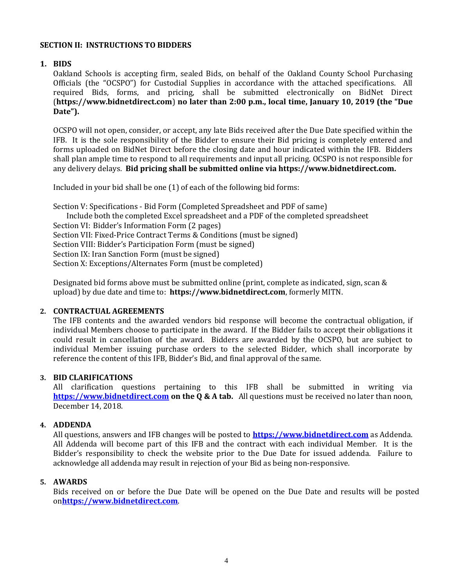# <span id="page-3-0"></span>**SECTION II: INSTRUCTIONS TO BIDDERS**

# **1. BIDS**

Oakland Schools is accepting firm, sealed Bids, on behalf of the Oakland County School Purchasing Officials (the "OCSPO") for Custodial Supplies in accordance with the attached specifications. All required Bids, forms, and pricing, shall be submitted electronically on BidNet Direct (**https://www.bidnetdirect.com**) **no later than 2:00 p.m., local time, January 10, 2019 (the "Due Date").**

OCSPO will not open, consider, or accept, any late Bids received after the Due Date specified within the IFB. It is the sole responsibility of the Bidder to ensure their Bid pricing is completely entered and forms uploaded on BidNet Direct before the closing date and hour indicated within the IFB. Bidders shall plan ample time to respond to all requirements and input all pricing. OCSPO is not responsible for any delivery delays. **Bid pricing shall be submitted online via https://www.bidnetdirect.com.**

Included in your bid shall be one (1) of each of the following bid forms:

Section V: Specifications - Bid Form (Completed Spreadsheet and PDF of same) Include both the completed Excel spreadsheet and a PDF of the completed spreadsheet Section VI: Bidder's Information Form (2 pages) Section VII: Fixed-Price Contract Terms & Conditions (must be signed) Section VIII: Bidder's Participation Form (must be signed) Section IX: Iran Sanction Form (must be signed) Section X: Exceptions/Alternates Form (must be completed)

Designated bid forms above must be submitted online (print, complete as indicated, sign, scan & upload) by due date and time to: **https://www.bidnetdirect.com**, formerly MITN.

### **2. CONTRACTUAL AGREEMENTS**

The IFB contents and the awarded vendors bid response will become the contractual obligation, if individual Members choose to participate in the award. If the Bidder fails to accept their obligations it could result in cancellation of the award. Bidders are awarded by the OCSPO, but are subject to individual Member issuing purchase orders to the selected Bidder, which shall incorporate by reference the content of this IFB, Bidder's Bid, and final approval of the same.

#### **3. BID CLARIFICATIONS**

All clarification questions pertaining to this IFB shall be submitted in writing via **[https://www.bidnetdirect.com](https://www.bidnetdirect.com/) on the Q & A tab.** All questions must be received no later than noon, December 14, 2018.

#### **4. ADDENDA**

All questions, answers and IFB changes will be posted to **[https://www.bidnetdirect.com](https://www.bidnetdirect.com/)** as Addenda. All Addenda will become part of this IFB and the contract with each individual Member. It is the Bidder's responsibility to check the website prior to the Due Date for issued addenda. Failure to acknowledge all addenda may result in rejection of your Bid as being non-responsive.

#### **5. AWARDS**

Bids received on or before the Due Date will be opened on the Due Date and results will be posted on**[https://www.bidnetdirect.com](https://www.bidnetdirect.com/)**.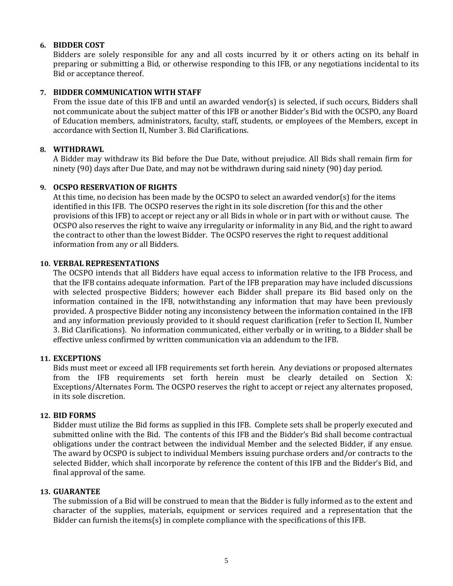# **6. BIDDER COST**

Bidders are solely responsible for any and all costs incurred by it or others acting on its behalf in preparing or submitting a Bid, or otherwise responding to this IFB, or any negotiations incidental to its Bid or acceptance thereof.

### **7. BIDDER COMMUNICATION WITH STAFF**

From the issue date of this IFB and until an awarded vendor(s) is selected, if such occurs, Bidders shall not communicate about the subject matter of this IFB or another Bidder's Bid with the OCSPO, any Board of Education members, administrators, faculty, staff, students, or employees of the Members, except in accordance with Section II, Number 3. Bid Clarifications.

# **8. WITHDRAWL**

A Bidder may withdraw its Bid before the Due Date, without prejudice. All Bids shall remain firm for ninety (90) days after Due Date, and may not be withdrawn during said ninety (90) day period.

# **9. OCSPO RESERVATION OF RIGHTS**

At this time, no decision has been made by the OCSPO to select an awarded vendor(s) for the items identified in this IFB. The OCSPO reserves the right in its sole discretion (for this and the other provisions of this IFB) to accept or reject any or all Bids in whole or in part with or without cause. The OCSPO also reserves the right to waive any irregularity or informality in any Bid, and the right to award the contract to other than the lowest Bidder. The OCSPO reserves the right to request additional information from any or all Bidders.

#### **10. VERBAL REPRESENTATIONS**

The OCSPO intends that all Bidders have equal access to information relative to the IFB Process, and that the IFB contains adequate information. Part of the IFB preparation may have included discussions with selected prospective Bidders; however each Bidder shall prepare its Bid based only on the information contained in the IFB, notwithstanding any information that may have been previously provided. A prospective Bidder noting any inconsistency between the information contained in the IFB and any information previously provided to it should request clarification (refer to Section II, Number 3. Bid Clarifications). No information communicated, either verbally or in writing, to a Bidder shall be effective unless confirmed by written communication via an addendum to the IFB.

#### **11. EXCEPTIONS**

Bids must meet or exceed all IFB requirements set forth herein. Any deviations or proposed alternates from the IFB requirements set forth herein must be clearly detailed on Section X: Exceptions/Alternates Form. The OCSPO reserves the right to accept or reject any alternates proposed, in its sole discretion.

#### **12. BID FORMS**

Bidder must utilize the Bid forms as supplied in this IFB. Complete sets shall be properly executed and submitted online with the Bid. The contents of this IFB and the Bidder's Bid shall become contractual obligations under the contract between the individual Member and the selected Bidder, if any ensue. The award by OCSPO is subject to individual Members issuing purchase orders and/or contracts to the selected Bidder, which shall incorporate by reference the content of this IFB and the Bidder's Bid, and final approval of the same.

#### **13. GUARANTEE**

The submission of a Bid will be construed to mean that the Bidder is fully informed as to the extent and character of the supplies, materials, equipment or services required and a representation that the Bidder can furnish the items(s) in complete compliance with the specifications of this IFB.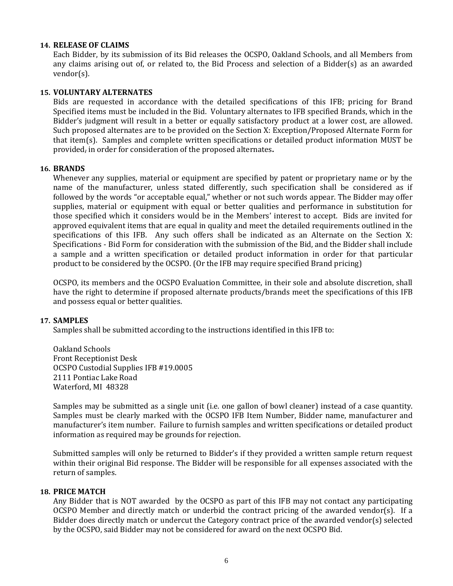#### **14. RELEASE OF CLAIMS**

Each Bidder, by its submission of its Bid releases the OCSPO, Oakland Schools, and all Members from any claims arising out of, or related to, the Bid Process and selection of a Bidder(s) as an awarded vendor(s).

#### **15. VOLUNTARY ALTERNATES**

Bids are requested in accordance with the detailed specifications of this IFB; pricing for Brand Specified items must be included in the Bid. Voluntary alternates to IFB specified Brands, which in the Bidder's judgment will result in a better or equally satisfactory product at a lower cost, are allowed. Such proposed alternates are to be provided on the Section X: Exception/Proposed Alternate Form for that item(s). Samples and complete written specifications or detailed product information MUST be provided, in order for consideration of the proposed alternates**.** 

#### **16. BRANDS**

Whenever any supplies, material or equipment are specified by patent or proprietary name or by the name of the manufacturer, unless stated differently, such specification shall be considered as if followed by the words "or acceptable equal," whether or not such words appear. The Bidder may offer supplies, material or equipment with equal or better qualities and performance in substitution for those specified which it considers would be in the Members' interest to accept. Bids are invited for approved equivalent items that are equal in quality and meet the detailed requirements outlined in the specifications of this IFB. Any such offers shall be indicated as an Alternate on the Section X: Specifications - Bid Form for consideration with the submission of the Bid, and the Bidder shall include a sample and a written specification or detailed product information in order for that particular product to be considered by the OCSPO. (Or the IFB may require specified Brand pricing)

OCSPO, its members and the OCSPO Evaluation Committee, in their sole and absolute discretion, shall have the right to determine if proposed alternate products/brands meet the specifications of this IFB and possess equal or better qualities.

#### **17. SAMPLES**

Samples shall be submitted according to the instructions identified in this IFB to:

Oakland Schools Front Receptionist Desk OCSPO Custodial Supplies IFB #19.0005 2111 Pontiac Lake Road Waterford, MI 48328

Samples may be submitted as a single unit (i.e. one gallon of bowl cleaner) instead of a case quantity. Samples must be clearly marked with the OCSPO IFB Item Number, Bidder name, manufacturer and manufacturer's item number. Failure to furnish samples and written specifications or detailed product information as required may be grounds for rejection.

Submitted samples will only be returned to Bidder's if they provided a written sample return request within their original Bid response. The Bidder will be responsible for all expenses associated with the return of samples.

#### **18. PRICE MATCH**

Any Bidder that is NOT awarded by the OCSPO as part of this IFB may not contact any participating OCSPO Member and directly match or underbid the contract pricing of the awarded vendor(s). If a Bidder does directly match or undercut the Category contract price of the awarded vendor(s) selected by the OCSPO, said Bidder may not be considered for award on the next OCSPO Bid.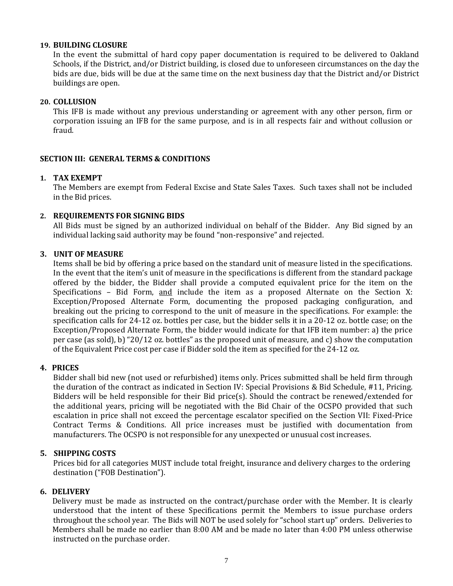#### **19. BUILDING CLOSURE**

In the event the submittal of hard copy paper documentation is required to be delivered to Oakland Schools, if the District, and/or District building, is closed due to unforeseen circumstances on the day the bids are due, bids will be due at the same time on the next business day that the District and/or District buildings are open.

# **20. COLLUSION**

This IFB is made without any previous understanding or agreement with any other person, firm or corporation issuing an IFB for the same purpose, and is in all respects fair and without collusion or fraud.

# <span id="page-6-0"></span>**SECTION III: GENERAL TERMS & CONDITIONS**

# **1. TAX EXEMPT**

The Members are exempt from Federal Excise and State Sales Taxes. Such taxes shall not be included in the Bid prices.

# **2. REQUIREMENTS FOR SIGNING BIDS**

All Bids must be signed by an authorized individual on behalf of the Bidder. Any Bid signed by an individual lacking said authority may be found "non-responsive" and rejected.

# **3. UNIT OF MEASURE**

Items shall be bid by offering a price based on the standard unit of measure listed in the specifications. In the event that the item's unit of measure in the specifications is different from the standard package offered by the bidder, the Bidder shall provide a computed equivalent price for the item on the Specifications – Bid Form, and include the item as a proposed Alternate on the Section X: Exception/Proposed Alternate Form, documenting the proposed packaging configuration, and breaking out the pricing to correspond to the unit of measure in the specifications. For example: the specification calls for 24-12 oz. bottles per case, but the bidder sells it in a 20-12 oz. bottle case; on the Exception/Proposed Alternate Form, the bidder would indicate for that IFB item number: a) the price per case (as sold), b) "20/12 oz. bottles" as the proposed unit of measure, and c) show the computation of the Equivalent Price cost per case if Bidder sold the item as specified for the 24-12 oz.

# **4. PRICES**

Bidder shall bid new (not used or refurbished) items only. Prices submitted shall be held firm through the duration of the contract as indicated in Section IV: Special Provisions & Bid Schedule, #11, Pricing. Bidders will be held responsible for their Bid price(s). Should the contract be renewed/extended for the additional years, pricing will be negotiated with the Bid Chair of the OCSPO provided that such escalation in price shall not exceed the percentage escalator specified on the Section VII: Fixed-Price Contract Terms & Conditions. All price increases must be justified with documentation from manufacturers. The OCSPO is not responsible for any unexpected or unusual cost increases.

# **5. SHIPPING COSTS**

Prices bid for all categories MUST include total freight, insurance and delivery charges to the ordering destination ("FOB Destination").

#### **6. DELIVERY**

 Delivery must be made as instructed on the contract/purchase order with the Member. It is clearly understood that the intent of these Specifications permit the Members to issue purchase orders throughout the school year. The Bids will NOT be used solely for "school start up" orders. Deliveries to Members shall be made no earlier than 8:00 AM and be made no later than 4:00 PM unless otherwise instructed on the purchase order.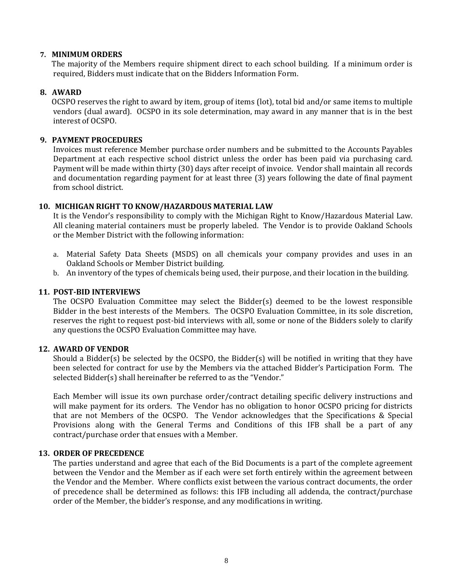#### **7. MINIMUM ORDERS**

The majority of the Members require shipment direct to each school building. If a minimum order is required, Bidders must indicate that on the Bidders Information Form.

# **8. AWARD**

OCSPO reserves the right to award by item, group of items (lot), total bid and/or same items to multiple vendors (dual award). OCSPO in its sole determination, may award in any manner that is in the best interest of OCSPO.

# **9. PAYMENT PROCEDURES**

Invoices must reference Member purchase order numbers and be submitted to the Accounts Payables Department at each respective school district unless the order has been paid via purchasing card. Payment will be made within thirty (30) days after receipt of invoice. Vendor shall maintain all records and documentation regarding payment for at least three (3) years following the date of final payment from school district.

# **10. MICHIGAN RIGHT TO KNOW/HAZARDOUS MATERIAL LAW**

It is the Vendor's responsibility to comply with the Michigan Right to Know/Hazardous Material Law. All cleaning material containers must be properly labeled. The Vendor is to provide Oakland Schools or the Member District with the following information:

- a. Material Safety Data Sheets (MSDS) on all chemicals your company provides and uses in an Oakland Schools or Member District building.
- b. An inventory of the types of chemicals being used, their purpose, and their location in the building.

### **11. POST-BID INTERVIEWS**

The OCSPO Evaluation Committee may select the Bidder(s) deemed to be the lowest responsible Bidder in the best interests of the Members. The OCSPO Evaluation Committee, in its sole discretion, reserves the right to request post-bid interviews with all, some or none of the Bidders solely to clarify any questions the OCSPO Evaluation Committee may have.

#### **12. AWARD OF VENDOR**

Should a Bidder(s) be selected by the OCSPO, the Bidder(s) will be notified in writing that they have been selected for contract for use by the Members via the attached Bidder's Participation Form. The selected Bidder(s) shall hereinafter be referred to as the "Vendor."

Each Member will issue its own purchase order/contract detailing specific delivery instructions and will make payment for its orders. The Vendor has no obligation to honor OCSPO pricing for districts that are not Members of the OCSPO. The Vendor acknowledges that the Specifications & Special Provisions along with the General Terms and Conditions of this IFB shall be a part of any contract/purchase order that ensues with a Member.

#### **13. ORDER OF PRECEDENCE**

The parties understand and agree that each of the Bid Documents is a part of the complete agreement between the Vendor and the Member as if each were set forth entirely within the agreement between the Vendor and the Member. Where conflicts exist between the various contract documents, the order of precedence shall be determined as follows: this IFB including all addenda, the contract/purchase order of the Member, the bidder's response, and any modifications in writing.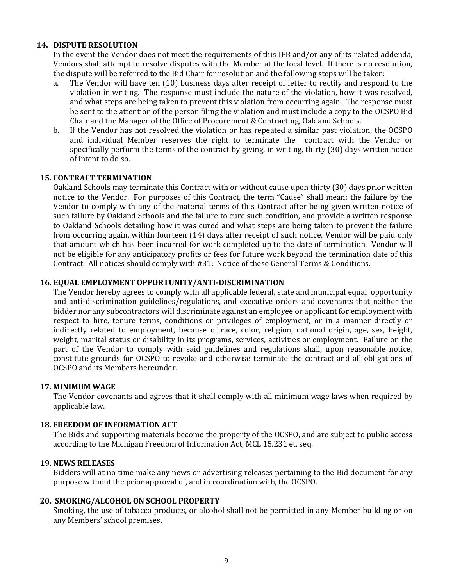# **14. DISPUTE RESOLUTION**

In the event the Vendor does not meet the requirements of this IFB and/or any of its related addenda, Vendors shall attempt to resolve disputes with the Member at the local level. If there is no resolution, the dispute will be referred to the Bid Chair for resolution and the following steps will be taken:

- a. The Vendor will have ten (10) business days after receipt of letter to rectify and respond to the violation in writing. The response must include the nature of the violation, how it was resolved, and what steps are being taken to prevent this violation from occurring again. The response must be sent to the attention of the person filing the violation and must include a copy to the OCSPO Bid Chair and the Manager of the Office of Procurement & Contracting, Oakland Schools.
- b. If the Vendor has not resolved the violation or has repeated a similar past violation, the OCSPO and individual Member reserves the right to terminate the contract with the Vendor or specifically perform the terms of the contract by giving, in writing, thirty (30) days written notice of intent to do so.

#### **15. CONTRACT TERMINATION**

Oakland Schools may terminate this Contract with or without cause upon thirty (30) days prior written notice to the Vendor. For purposes of this Contract, the term "Cause" shall mean: the failure by the Vendor to comply with any of the material terms of this Contract after being given written notice of such failure by Oakland Schools and the failure to cure such condition, and provide a written response to Oakland Schools detailing how it was cured and what steps are being taken to prevent the failure from occurring again, within fourteen (14) days after receipt of such notice. Vendor will be paid only that amount which has been incurred for work completed up to the date of termination. Vendor will not be eligible for any anticipatory profits or fees for future work beyond the termination date of this Contract. All notices should comply with #31: Notice of these General Terms & Conditions.

# **16. EQUAL EMPLOYMENT OPPORTUNITY/ANTI-DISCRIMINATION**

The Vendor hereby agrees to comply with all applicable federal, state and municipal equal opportunity and anti-discrimination guidelines/regulations, and executive orders and covenants that neither the bidder nor any subcontractors will discriminate against an employee or applicant for employment with respect to hire, tenure terms, conditions or privileges of employment, or in a manner directly or indirectly related to employment, because of race, color, religion, national origin, age, sex, height, weight, marital status or disability in its programs, services, activities or employment. Failure on the part of the Vendor to comply with said guidelines and regulations shall, upon reasonable notice, constitute grounds for OCSPO to revoke and otherwise terminate the contract and all obligations of OCSPO and its Members hereunder.

#### **17. MINIMUM WAGE**

The Vendor covenants and agrees that it shall comply with all minimum wage laws when required by applicable law.

#### **18. FREEDOM OF INFORMATION ACT**

The Bids and supporting materials become the property of the OCSPO, and are subject to public access according to the Michigan Freedom of Information Act, MCL 15.231 et. seq.

#### **19. NEWS RELEASES**

Bidders will at no time make any news or advertising releases pertaining to the Bid document for any purpose without the prior approval of, and in coordination with, the OCSPO.

#### **20. SMOKING/ALCOHOL ON SCHOOL PROPERTY**

Smoking, the use of tobacco products, or alcohol shall not be permitted in any Member building or on any Members' school premises.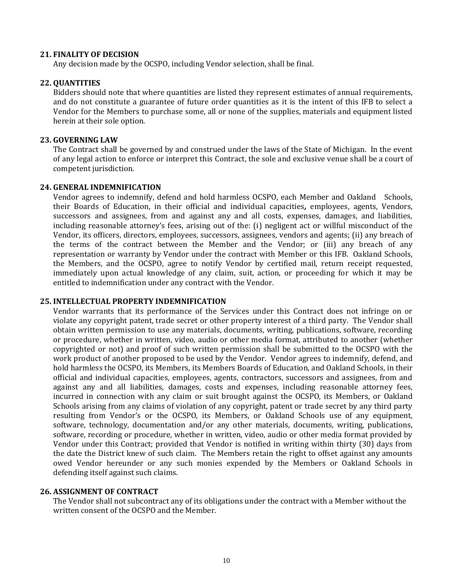#### **21. FINALITY OF DECISION**

Any decision made by the OCSPO, including Vendor selection, shall be final.

#### **22. QUANTITIES**

Bidders should note that where quantities are listed they represent estimates of annual requirements, and do not constitute a guarantee of future order quantities as it is the intent of this IFB to select a Vendor for the Members to purchase some, all or none of the supplies, materials and equipment listed herein at their sole option.

#### **23. GOVERNING LAW**

The Contract shall be governed by and construed under the laws of the State of Michigan. In the event of any legal action to enforce or interpret this Contract, the sole and exclusive venue shall be a court of competent jurisdiction.

#### **24. GENERAL INDEMNIFICATION**

Vendor agrees to indemnify, defend and hold harmless OCSPO, each Member and Oakland Schools, their Boards of Education, in their official and individual capacities*,* employees, agents, Vendors, successors and assignees, from and against any and all costs, expenses, damages, and liabilities, including reasonable attorney's fees, arising out of the: (i) negligent act or willful misconduct of the Vendor, its officers, directors, employees, successors, assignees, vendors and agents; (ii) any breach of the terms of the contract between the Member and the Vendor; or (iii) any breach of any representation or warranty by Vendor under the contract with Member or this IFB. Oakland Schools, the Members, and the OCSPO, agree to notify Vendor by certified mail, return receipt requested, immediately upon actual knowledge of any claim, suit, action, or proceeding for which it may be entitled to indemnification under any contract with the Vendor.

### **25. INTELLECTUAL PROPERTY INDEMNIFICATION**

Vendor warrants that its performance of the Services under this Contract does not infringe on or violate any copyright patent, trade secret or other property interest of a third party. The Vendor shall obtain written permission to use any materials, documents, writing, publications, software, recording or procedure, whether in written, video, audio or other media format, attributed to another (whether copyrighted or not) and proof of such written permission shall be submitted to the OCSPO with the work product of another proposed to be used by the Vendor. Vendor agrees to indemnify, defend, and hold harmless the OCSPO, its Members, its Members Boards of Education, and Oakland Schools, in their official and individual capacities, employees, agents, contractors, successors and assignees, from and against any and all liabilities, damages, costs and expenses, including reasonable attorney fees, incurred in connection with any claim or suit brought against the OCSPO, its Members, or Oakland Schools arising from any claims of violation of any copyright, patent or trade secret by any third party resulting from Vendor's or the OCSPO, its Members, or Oakland Schools use of any equipment, software, technology, documentation and/or any other materials, documents, writing, publications, software, recording or procedure, whether in written, video, audio or other media format provided by Vendor under this Contract; provided that Vendor is notified in writing within thirty (30) days from the date the District knew of such claim. The Members retain the right to offset against any amounts owed Vendor hereunder or any such monies expended by the Members or Oakland Schools in defending itself against such claims.

#### **26. ASSIGNMENT OF CONTRACT**

The Vendor shall not subcontract any of its obligations under the contract with a Member without the written consent of the OCSPO and the Member.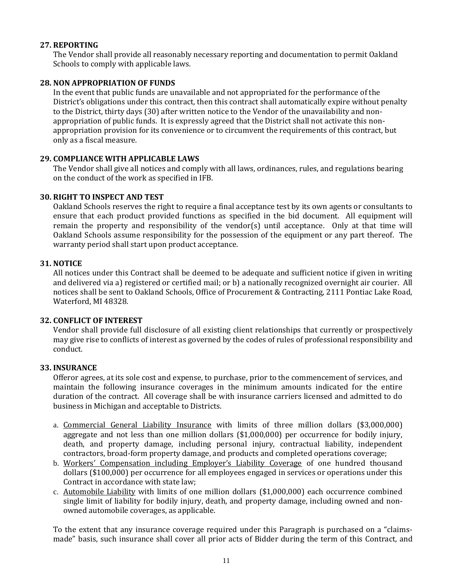# **27. REPORTING**

The Vendor shall provide all reasonably necessary reporting and documentation to permit Oakland Schools to comply with applicable laws.

# **28. NON APPROPRIATION OF FUNDS**

In the event that public funds are unavailable and not appropriated for the performance of the District's obligations under this contract, then this contract shall automatically expire without penalty to the District, thirty days (30) after written notice to the Vendor of the unavailability and nonappropriation of public funds. It is expressly agreed that the District shall not activate this nonappropriation provision for its convenience or to circumvent the requirements of this contract, but only as a fiscal measure.

# **29. COMPLIANCE WITH APPLICABLE LAWS**

The Vendor shall give all notices and comply with all laws, ordinances, rules, and regulations bearing on the conduct of the work as specified in IFB.

# **30. RIGHT TO INSPECT AND TEST**

Oakland Schools reserves the right to require a final acceptance test by its own agents or consultants to ensure that each product provided functions as specified in the bid document. All equipment will remain the property and responsibility of the vendor(s) until acceptance. Only at that time will Oakland Schools assume responsibility for the possession of the equipment or any part thereof. The warranty period shall start upon product acceptance.

# **31. NOTICE**

All notices under this Contract shall be deemed to be adequate and sufficient notice if given in writing and delivered via a) registered or certified mail; or b) a nationally recognized overnight air courier. All notices shall be sent to Oakland Schools, Office of Procurement & Contracting, 2111 Pontiac Lake Road, Waterford, MI 48328.

# **32. CONFLICT OF INTEREST**

Vendor shall provide full disclosure of all existing client relationships that currently or prospectively may give rise to conflicts of interest as governed by the codes of rules of professional responsibility and conduct.

# **33. INSURANCE**

Offeror agrees, at its sole cost and expense, to purchase, prior to the commencement of services, and maintain the following insurance coverages in the minimum amounts indicated for the entire duration of the contract. All coverage shall be with insurance carriers licensed and admitted to do business in Michigan and acceptable to Districts.

- a. Commercial General Liability Insurance with limits of three million dollars (\$3,000,000) aggregate and not less than one million dollars (\$1,000,000) per occurrence for bodily injury, death, and property damage, including personal injury, contractual liability, independent contractors, broad-form property damage, and products and completed operations coverage;
- b. Workers' Compensation including Employer's Liability Coverage of one hundred thousand dollars (\$100,000) per occurrence for all employees engaged in services or operations under this Contract in accordance with state law;
- c. Automobile Liability with limits of one million dollars (\$1,000,000) each occurrence combined single limit of liability for bodily injury, death, and property damage, including owned and nonowned automobile coverages, as applicable.

To the extent that any insurance coverage required under this Paragraph is purchased on a "claimsmade" basis, such insurance shall cover all prior acts of Bidder during the term of this Contract, and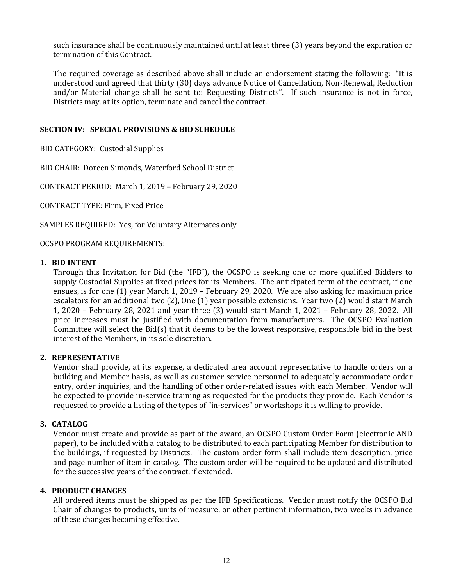such insurance shall be continuously maintained until at least three (3) years beyond the expiration or termination of this Contract.

The required coverage as described above shall include an endorsement stating the following: "It is understood and agreed that thirty (30) days advance Notice of Cancellation, Non-Renewal, Reduction and/or Material change shall be sent to: Requesting Districts". If such insurance is not in force, Districts may, at its option, terminate and cancel the contract.

# <span id="page-11-0"></span>**SECTION IV: SPECIAL PROVISIONS & BID SCHEDULE**

BID CATEGORY: Custodial Supplies

BID CHAIR: Doreen Simonds, Waterford School District

CONTRACT PERIOD: March 1, 2019 – February 29, 2020

CONTRACT TYPE: Firm, Fixed Price

SAMPLES REQUIRED: Yes, for Voluntary Alternates only

OCSPO PROGRAM REQUIREMENTS:

#### **1. BID INTENT**

Through this Invitation for Bid (the "IFB"), the OCSPO is seeking one or more qualified Bidders to supply Custodial Supplies at fixed prices for its Members. The anticipated term of the contract, if one ensues, is for one (1) year March 1, 2019 – February 29, 2020. We are also asking for maximum price escalators for an additional two (2), One (1) year possible extensions. Year two (2) would start March 1, 2020 – February 28, 2021 and year three (3) would start March 1, 2021 – February 28, 2022. All price increases must be justified with documentation from manufacturers. The OCSPO Evaluation Committee will select the Bid(s) that it deems to be the lowest responsive, responsible bid in the best interest of the Members, in its sole discretion.

#### **2. REPRESENTATIVE**

Vendor shall provide, at its expense, a dedicated area account representative to handle orders on a building and Member basis, as well as customer service personnel to adequately accommodate order entry, order inquiries, and the handling of other order-related issues with each Member. Vendor will be expected to provide in-service training as requested for the products they provide. Each Vendor is requested to provide a listing of the types of "in-services" or workshops it is willing to provide.

#### **3. CATALOG**

Vendor must create and provide as part of the award, an OCSPO Custom Order Form (electronic AND paper), to be included with a catalog to be distributed to each participating Member for distribution to the buildings, if requested by Districts. The custom order form shall include item description, price and page number of item in catalog. The custom order will be required to be updated and distributed for the successive years of the contract, if extended.

#### **4. PRODUCT CHANGES**

All ordered items must be shipped as per the IFB Specifications. Vendor must notify the OCSPO Bid Chair of changes to products, units of measure, or other pertinent information, two weeks in advance of these changes becoming effective.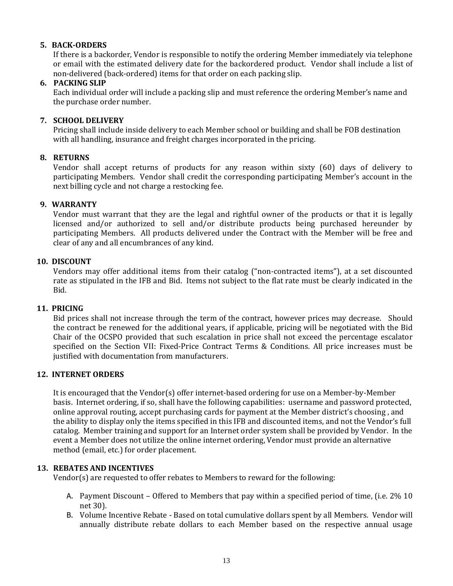# **5. BACK-ORDERS**

If there is a backorder, Vendor is responsible to notify the ordering Member immediately via telephone or email with the estimated delivery date for the backordered product. Vendor shall include a list of non-delivered (back-ordered) items for that order on each packing slip.

# **6. PACKING SLIP**

Each individual order will include a packing slip and must reference the ordering Member's name and the purchase order number.

# **7. SCHOOL DELIVERY**

Pricing shall include inside delivery to each Member school or building and shall be FOB destination with all handling, insurance and freight charges incorporated in the pricing.

# **8. RETURNS**

Vendor shall accept returns of products for any reason within sixty (60) days of delivery to participating Members. Vendor shall credit the corresponding participating Member's account in the next billing cycle and not charge a restocking fee.

# **9. WARRANTY**

Vendor must warrant that they are the legal and rightful owner of the products or that it is legally licensed and/or authorized to sell and/or distribute products being purchased hereunder by participating Members. All products delivered under the Contract with the Member will be free and clear of any and all encumbrances of any kind.

# **10. DISCOUNT**

Vendors may offer additional items from their catalog ("non-contracted items"), at a set discounted rate as stipulated in the IFB and Bid. Items not subject to the flat rate must be clearly indicated in the Bid.

#### **11. PRICING**

Bid prices shall not increase through the term of the contract, however prices may decrease. Should the contract be renewed for the additional years, if applicable, pricing will be negotiated with the Bid Chair of the OCSPO provided that such escalation in price shall not exceed the percentage escalator specified on the Section VII: Fixed-Price Contract Terms & Conditions. All price increases must be justified with documentation from manufacturers.

# **12. INTERNET ORDERS**

It is encouraged that the Vendor(s) offer internet-based ordering for use on a Member-by-Member basis. Internet ordering, if so, shall have the following capabilities: username and password protected, online approval routing, accept purchasing cards for payment at the Member district's choosing , and the ability to display only the items specified in this IFB and discounted items, and not the Vendor's full catalog. Member training and support for an Internet order system shall be provided by Vendor. In the event a Member does not utilize the online internet ordering, Vendor must provide an alternative method (email, etc.) for order placement.

# **13. REBATES AND INCENTIVES**

Vendor(s) are requested to offer rebates to Members to reward for the following:

- A. Payment Discount Offered to Members that pay within a specified period of time, (i.e. 2% 10 net 30).
- B. Volume Incentive Rebate Based on total cumulative dollars spent by all Members. Vendor will annually distribute rebate dollars to each Member based on the respective annual usage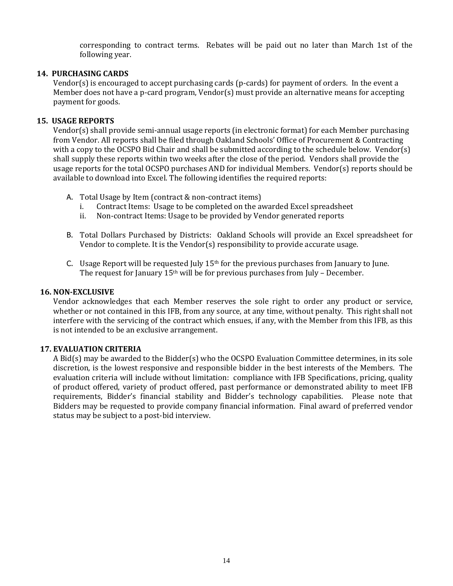corresponding to contract terms. Rebates will be paid out no later than March 1st of the following year.

# **14. PURCHASING CARDS**

Vendor(s) is encouraged to accept purchasing cards (p-cards) for payment of orders. In the event a Member does not have a p-card program, Vendor(s) must provide an alternative means for accepting payment for goods.

# **15. USAGE REPORTS**

Vendor(s) shall provide semi-annual usage reports (in electronic format) for each Member purchasing from Vendor. All reports shall be filed through Oakland Schools' Office of Procurement & Contracting with a copy to the OCSPO Bid Chair and shall be submitted according to the schedule below. Vendor(s) shall supply these reports within two weeks after the close of the period. Vendors shall provide the usage reports for the total OCSPO purchases AND for individual Members. Vendor(s) reports should be available to download into Excel. The following identifies the required reports:

- A. Total Usage by Item (contract & non-contract items)
	- i. Contract Items: Usage to be completed on the awarded Excel spreadsheet
	- ii. Non-contract Items: Usage to be provided by Vendor generated reports
- B. Total Dollars Purchased by Districts: Oakland Schools will provide an Excel spreadsheet for Vendor to complete. It is the Vendor(s) responsibility to provide accurate usage.
- C. Usage Report will be requested July  $15<sup>th</sup>$  for the previous purchases from January to June. The request for January  $15<sup>th</sup>$  will be for previous purchases from July – December.

### **16. NON-EXCLUSIVE**

Vendor acknowledges that each Member reserves the sole right to order any product or service, whether or not contained in this IFB, from any source, at any time, without penalty. This right shall not interfere with the servicing of the contract which ensues, if any, with the Member from this IFB, as this is not intended to be an exclusive arrangement.

#### **17. EVALUATION CRITERIA**

A Bid(s) may be awarded to the Bidder(s) who the OCSPO Evaluation Committee determines, in its sole discretion, is the lowest responsive and responsible bidder in the best interests of the Members. The evaluation criteria will include without limitation: compliance with IFB Specifications, pricing, quality of product offered, variety of product offered, past performance or demonstrated ability to meet IFB requirements, Bidder's financial stability and Bidder's technology capabilities. Please note that Bidders may be requested to provide company financial information. Final award of preferred vendor status may be subject to a post-bid interview.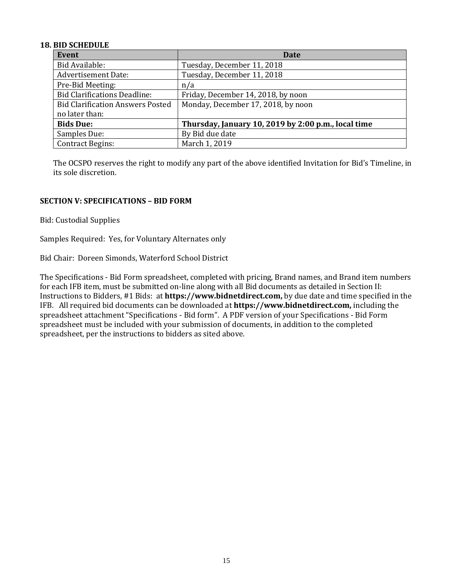# **18. BID SCHEDULE**

| <b>Event</b>                            | Date                                                |
|-----------------------------------------|-----------------------------------------------------|
| Bid Available:                          | Tuesday, December 11, 2018                          |
| <b>Advertisement Date:</b>              | Tuesday, December 11, 2018                          |
| Pre-Bid Meeting:                        | n/a                                                 |
| <b>Bid Clarifications Deadline:</b>     | Friday, December 14, 2018, by noon                  |
| <b>Bid Clarification Answers Posted</b> | Monday, December 17, 2018, by noon                  |
| no later than:                          |                                                     |
| <b>Bids Due:</b>                        | Thursday, January 10, 2019 by 2:00 p.m., local time |
| Samples Due:                            | By Bid due date                                     |
| <b>Contract Begins:</b>                 | March 1, 2019                                       |

The OCSPO reserves the right to modify any part of the above identified Invitation for Bid's Timeline, in its sole discretion.

# **SECTION V: SPECIFICATIONS – BID FORM**

Bid: Custodial Supplies

Samples Required: Yes, for Voluntary Alternates only

Bid Chair: Doreen Simonds, Waterford School District

The Specifications - Bid Form spreadsheet, completed with pricing, Brand names, and Brand item numbers for each IFB item, must be submitted on-line along with all Bid documents as detailed in Section II: Instructions to Bidders, #1 Bids: at **https://www.bidnetdirect.com,** by due date and time specified in the IFB. All required bid documents can be downloaded at **https://www.bidnetdirect.com,** including the spreadsheet attachment "Specifications - Bid form". A PDF version of your Specifications - Bid Form spreadsheet must be included with your submission of documents, in addition to the completed spreadsheet, per the instructions to bidders as sited above.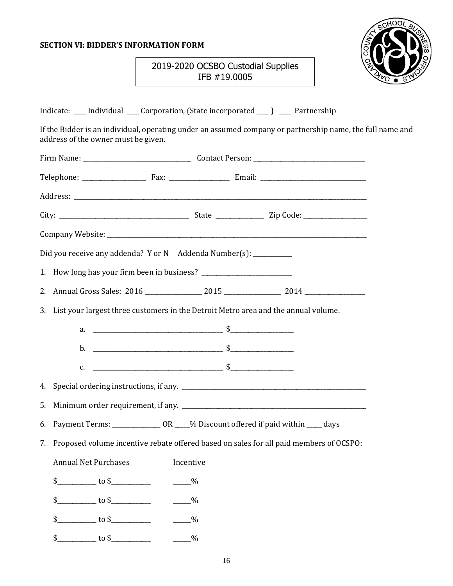# <span id="page-15-0"></span>**SECTION VI: BIDDER'S INFORMATION FORM**



# 2019-2020 OCSBO Custodial Supplies IFB #19.0005

|    |                                     | Indicate: __ Individual __ Corporation, (State incorporated ___) __ Partnership                                                                                                                                                                                                                                        |                                                                                                           |  |
|----|-------------------------------------|------------------------------------------------------------------------------------------------------------------------------------------------------------------------------------------------------------------------------------------------------------------------------------------------------------------------|-----------------------------------------------------------------------------------------------------------|--|
|    | address of the owner must be given. |                                                                                                                                                                                                                                                                                                                        | If the Bidder is an individual, operating under an assumed company or partnership name, the full name and |  |
|    |                                     |                                                                                                                                                                                                                                                                                                                        |                                                                                                           |  |
|    |                                     |                                                                                                                                                                                                                                                                                                                        |                                                                                                           |  |
|    |                                     |                                                                                                                                                                                                                                                                                                                        |                                                                                                           |  |
|    |                                     |                                                                                                                                                                                                                                                                                                                        |                                                                                                           |  |
|    |                                     |                                                                                                                                                                                                                                                                                                                        |                                                                                                           |  |
|    |                                     | Did you receive any addenda? Y or N Addenda Number(s): _________                                                                                                                                                                                                                                                       |                                                                                                           |  |
|    |                                     |                                                                                                                                                                                                                                                                                                                        |                                                                                                           |  |
|    |                                     |                                                                                                                                                                                                                                                                                                                        |                                                                                                           |  |
|    |                                     | 3. List your largest three customers in the Detroit Metro area and the annual volume.                                                                                                                                                                                                                                  |                                                                                                           |  |
|    |                                     |                                                                                                                                                                                                                                                                                                                        |                                                                                                           |  |
|    |                                     |                                                                                                                                                                                                                                                                                                                        |                                                                                                           |  |
|    |                                     | c. $\frac{1}{2}$ $\frac{1}{2}$ $\frac{1}{2}$ $\frac{1}{2}$ $\frac{1}{2}$ $\frac{1}{2}$ $\frac{1}{2}$ $\frac{1}{2}$ $\frac{1}{2}$ $\frac{1}{2}$ $\frac{1}{2}$ $\frac{1}{2}$ $\frac{1}{2}$ $\frac{1}{2}$ $\frac{1}{2}$ $\frac{1}{2}$ $\frac{1}{2}$ $\frac{1}{2}$ $\frac{1}{2}$ $\frac{1}{2}$ $\frac{1}{2}$ $\frac{1}{2}$ |                                                                                                           |  |
|    |                                     |                                                                                                                                                                                                                                                                                                                        |                                                                                                           |  |
| 5. |                                     |                                                                                                                                                                                                                                                                                                                        |                                                                                                           |  |
|    |                                     | 6. Payment Terms: ________________ OR ____% Discount offered if paid within ____ days                                                                                                                                                                                                                                  |                                                                                                           |  |
|    |                                     |                                                                                                                                                                                                                                                                                                                        | 7. Proposed volume incentive rebate offered based on sales for all paid members of OCSPO:                 |  |
|    | <b>Annual Net Purchases</b>         | Incentive                                                                                                                                                                                                                                                                                                              |                                                                                                           |  |
|    |                                     |                                                                                                                                                                                                                                                                                                                        |                                                                                                           |  |
|    |                                     |                                                                                                                                                                                                                                                                                                                        |                                                                                                           |  |
|    | $\frac{1}{2}$ to \$                 | $-$ %                                                                                                                                                                                                                                                                                                                  |                                                                                                           |  |
|    |                                     |                                                                                                                                                                                                                                                                                                                        |                                                                                                           |  |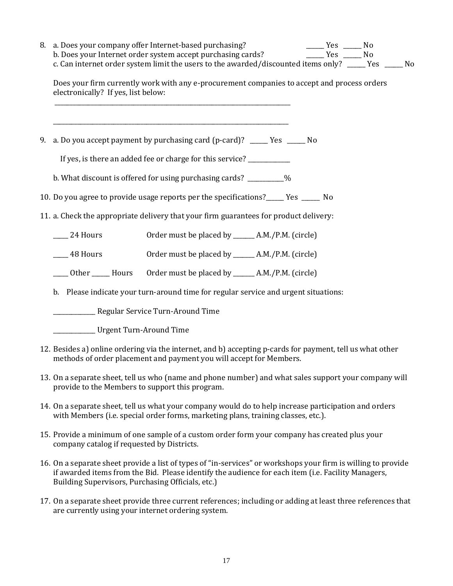| 8. a. Does your company offer Internet-based purchasing?<br>b. Does your Internet order system accept purchasing cards?<br>c. Can internet order system limit the users to the awarded/discounted items only? ____ Yes ____ No | $\frac{1}{1}$ Yes $\frac{1}{1}$ No<br>$Yes$ No |  |
|--------------------------------------------------------------------------------------------------------------------------------------------------------------------------------------------------------------------------------|------------------------------------------------|--|
| Does your firm currently work with any e-procurement companies to accept and process orders<br>electronically? If yes, list below:                                                                                             |                                                |  |
| 9. a. Do you accept payment by purchasing card (p-card)? _____ Yes _____ No                                                                                                                                                    |                                                |  |
| If yes, is there an added fee or charge for this service? ____________                                                                                                                                                         |                                                |  |
| b. What discount is offered for using purchasing cards? _________%                                                                                                                                                             |                                                |  |
| 10. Do you agree to provide usage reports per the specifications?_____ Yes _____ No                                                                                                                                            |                                                |  |
| 11. a. Check the appropriate delivery that your firm guarantees for product delivery:                                                                                                                                          |                                                |  |
| Order must be placed by ______ A.M./P.M. (circle)<br>$24$ Hours                                                                                                                                                                |                                                |  |
| Order must be placed by _______ A.M./P.M. (circle)<br>$\frac{48}{2}$ Hours                                                                                                                                                     |                                                |  |
| ____ Other _____ Hours Order must be placed by ______ A.M./P.M. (circle)                                                                                                                                                       |                                                |  |
| b. Please indicate your turn-around time for regular service and urgent situations:                                                                                                                                            |                                                |  |
|                                                                                                                                                                                                                                |                                                |  |
| Urgent Turn-Around Time                                                                                                                                                                                                        |                                                |  |
| 12. Besides a) online ordering via the internet, and b) accepting p-cards for payment, tell us what other<br>methods of order placement and payment you will accept for Members.                                               |                                                |  |
| 13. On a separate sheet, tell us who (name and phone number) and what sales support your company will<br>provide to the Members to support this program.                                                                       |                                                |  |
| 14. On a separate sheet, tell us what your company would do to help increase participation and orders<br>with Members (i.e. special order forms, marketing plans, training classes, etc.).                                     |                                                |  |

- 15. Provide a minimum of one sample of a custom order form your company has created plus your company catalog if requested by Districts.
- 16. On a separate sheet provide a list of types of "in-services" or workshops your firm is willing to provide if awarded items from the Bid. Please identify the audience for each item (i.e. Facility Managers, Building Supervisors, Purchasing Officials, etc.)
- 17. On a separate sheet provide three current references; including or adding at least three references that are currently using your internet ordering system.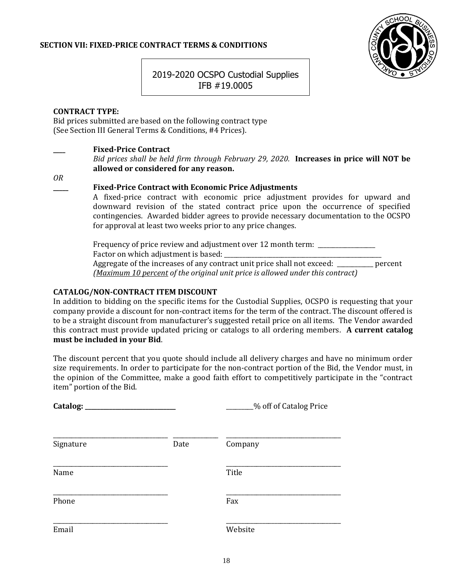# **SECTION VII: FIXED-PRICE CONTRACT TERMS & CONDITIONS**



2019-2020 OCSPO Custodial Supplies IFB #19.0005

# **CONTRACT TYPE:**

Bid prices submitted are based on the following contract type (See Section III General Terms & Conditions, #4 Prices).

# **\_\_\_\_ Fixed-Price Contract**

*Bid prices shall be held firm through February 29, 2020.* **Increases in price will NOT be allowed or considered for any reason.**

*OR*

### **\_\_\_\_\_ Fixed-Price Contract with Economic Price Adjustments**

A fixed-price contract with economic price adjustment provides for upward and downward revision of the stated contract price upon the occurrence of specified contingencies. Awarded bidder agrees to provide necessary documentation to the OCSPO for approval at least two weeks prior to any price changes.

Frequency of price review and adjustment over 12 month term: \_\_\_\_\_\_\_\_\_\_\_\_\_\_\_\_\_\_\_ Factor on which adjustment is based: Aggregate of the increases of any contract unit price shall not exceed: \_\_\_\_\_\_\_\_\_\_\_\_ percent *(Maximum 10 percent of the original unit price is allowed under this contract)*

# **CATALOG/NON-CONTRACT ITEM DISCOUNT**

In addition to bidding on the specific items for the Custodial Supplies, OCSPO is requesting that your company provide a discount for non-contract items for the term of the contract. The discount offered is to be a straight discount from manufacturer's suggested retail price on all items. The Vendor awarded this contract must provide updated pricing or catalogs to all ordering members. **A current catalog must be included in your Bid**.

The discount percent that you quote should include all delivery charges and have no minimum order size requirements. In order to participate for the non-contract portion of the Bid, the Vendor must, in the opinion of the Committee, make a good faith effort to competitively participate in the "contract item" portion of the Bid.

|           |      | _% off of Catalog Price |
|-----------|------|-------------------------|
| Signature | Date | Company                 |
| Name      |      | Title                   |
| Phone     |      | Fax                     |
| Email     |      | Website                 |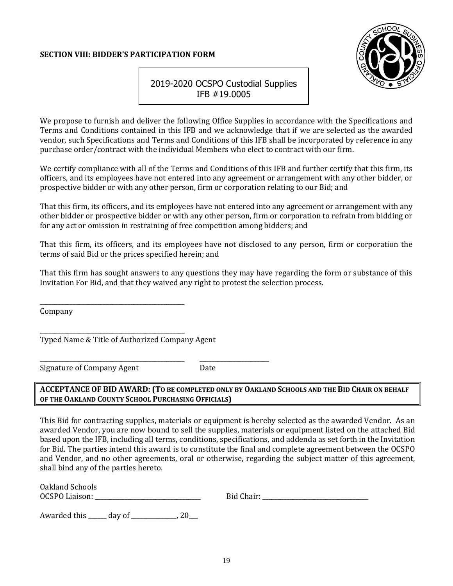# <span id="page-18-0"></span>**SECTION VIII: BIDDER'S PARTICIPATION FORM**



# 2019-2020 OCSPO Custodial Supplies IFB #19.0005

We propose to furnish and deliver the following Office Supplies in accordance with the Specifications and Terms and Conditions contained in this IFB and we acknowledge that if we are selected as the awarded vendor, such Specifications and Terms and Conditions of this IFB shall be incorporated by reference in any purchase order/contract with the individual Members who elect to contract with our firm.

We certify compliance with all of the Terms and Conditions of this IFB and further certify that this firm, its officers, and its employees have not entered into any agreement or arrangement with any other bidder, or prospective bidder or with any other person, firm or corporation relating to our Bid; and

That this firm, its officers, and its employees have not entered into any agreement or arrangement with any other bidder or prospective bidder or with any other person, firm or corporation to refrain from bidding or for any act or omission in restraining of free competition among bidders; and

That this firm, its officers, and its employees have not disclosed to any person, firm or corporation the terms of said Bid or the prices specified herein; and

That this firm has sought answers to any questions they may have regarding the form or substance of this Invitation For Bid, and that they waived any right to protest the selection process.

Company

Typed Name & Title of Authorized Company Agent

\_\_\_\_\_\_\_\_\_\_\_\_\_\_\_\_\_\_\_\_\_\_\_\_\_\_\_\_\_\_\_\_\_\_\_\_\_\_\_\_\_\_\_\_\_\_\_\_ \_\_\_\_\_\_\_\_\_\_\_\_\_\_\_\_\_\_\_\_\_\_\_

\_\_\_\_\_\_\_\_\_\_\_\_\_\_\_\_\_\_\_\_\_\_\_\_\_\_\_\_\_\_\_\_\_\_\_\_\_\_\_\_\_\_\_\_\_\_\_\_

\_\_\_\_\_\_\_\_\_\_\_\_\_\_\_\_\_\_\_\_\_\_\_\_\_\_\_\_\_\_\_\_\_\_\_\_\_\_\_\_\_\_\_\_\_\_\_\_

Signature of Company Agent Date

# **ACCEPTANCE OF BID AWARD: (TO BE COMPLETED ONLY BY OAKLAND SCHOOLS AND THE BID CHAIR ON BEHALF OF THE OAKLAND COUNTY SCHOOL PURCHASING OFFICIALS)**

This Bid for contracting supplies, materials or equipment is hereby selected as the awarded Vendor. As an awarded Vendor, you are now bound to sell the supplies, materials or equipment listed on the attached Bid based upon the IFB, including all terms, conditions, specifications, and addenda as set forth in the Invitation for Bid. The parties intend this award is to constitute the final and complete agreement between the OCSPO and Vendor, and no other agreements, oral or otherwise, regarding the subject matter of this agreement, shall bind any of the parties hereto.

| Oakland Schools       |  |
|-----------------------|--|
| <b>OCSPO</b> Liaison: |  |

OCSPO Liaison: \_\_\_\_\_\_\_\_\_\_\_\_\_\_\_\_\_\_\_\_\_\_\_\_\_\_\_\_\_\_\_\_\_\_\_ Bid Chair: \_\_\_\_\_\_\_\_\_\_\_\_\_\_\_\_\_\_\_\_\_\_\_\_\_\_\_\_\_\_\_\_\_\_\_

Awarded this \_\_\_\_\_\_ day of \_\_\_\_\_\_\_\_\_\_\_\_\_\_\_, 20\_\_\_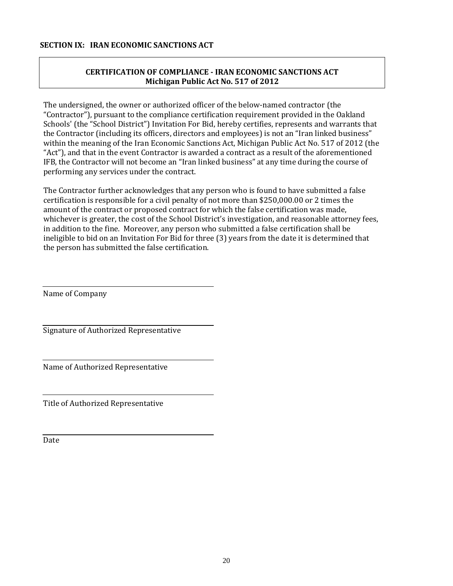# <span id="page-19-0"></span>**CERTIFICATION OF COMPLIANCE - IRAN ECONOMIC SANCTIONS ACT Michigan Public Act No. 517 of 2012**

The undersigned, the owner or authorized officer of the below-named contractor (the "Contractor"), pursuant to the compliance certification requirement provided in the Oakland Schools' (the "School District") Invitation For Bid, hereby certifies, represents and warrants that the Contractor (including its officers, directors and employees) is not an "Iran linked business" within the meaning of the Iran Economic Sanctions Act, Michigan Public Act No. 517 of 2012 (the "Act"), and that in the event Contractor is awarded a contract as a result of the aforementioned IFB, the Contractor will not become an "Iran linked business" at any time during the course of performing any services under the contract.

The Contractor further acknowledges that any person who is found to have submitted a false certification is responsible for a civil penalty of not more than \$250,000.00 or 2 times the amount of the contract or proposed contract for which the false certification was made, whichever is greater, the cost of the School District's investigation, and reasonable attorney fees, in addition to the fine. Moreover, any person who submitted a false certification shall be ineligible to bid on an Invitation For Bid for three (3) years from the date it is determined that the person has submitted the false certification.

Name of Company

Signature of Authorized Representative

Name of Authorized Representative

Title of Authorized Representative

Date